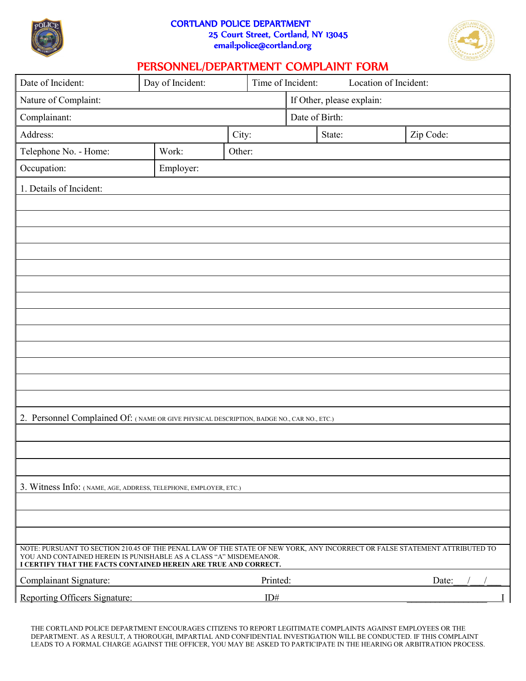

## CORTLAND POLICE DEPARTMENT 25 Court Street, Cortland, NY 13045 email:police@cortland.org



## PERSONNEL/DEPARTMENT COMPLAINT FORM

| Date of Incident:                                                                                                                                                                                                                                                   | Day of Incident: |          | Time of Incident:         | Location of Incident: |           |
|---------------------------------------------------------------------------------------------------------------------------------------------------------------------------------------------------------------------------------------------------------------------|------------------|----------|---------------------------|-----------------------|-----------|
| Nature of Complaint:                                                                                                                                                                                                                                                |                  |          | If Other, please explain: |                       |           |
| Complainant:                                                                                                                                                                                                                                                        |                  |          | Date of Birth:            |                       |           |
| Address:                                                                                                                                                                                                                                                            |                  | City:    |                           | State:                | Zip Code: |
| Telephone No. - Home:                                                                                                                                                                                                                                               | Work:            | Other:   |                           |                       |           |
| Occupation:                                                                                                                                                                                                                                                         | Employer:        |          |                           |                       |           |
| 1. Details of Incident:                                                                                                                                                                                                                                             |                  |          |                           |                       |           |
|                                                                                                                                                                                                                                                                     |                  |          |                           |                       |           |
|                                                                                                                                                                                                                                                                     |                  |          |                           |                       |           |
|                                                                                                                                                                                                                                                                     |                  |          |                           |                       |           |
|                                                                                                                                                                                                                                                                     |                  |          |                           |                       |           |
|                                                                                                                                                                                                                                                                     |                  |          |                           |                       |           |
|                                                                                                                                                                                                                                                                     |                  |          |                           |                       |           |
|                                                                                                                                                                                                                                                                     |                  |          |                           |                       |           |
|                                                                                                                                                                                                                                                                     |                  |          |                           |                       |           |
|                                                                                                                                                                                                                                                                     |                  |          |                           |                       |           |
|                                                                                                                                                                                                                                                                     |                  |          |                           |                       |           |
|                                                                                                                                                                                                                                                                     |                  |          |                           |                       |           |
|                                                                                                                                                                                                                                                                     |                  |          |                           |                       |           |
|                                                                                                                                                                                                                                                                     |                  |          |                           |                       |           |
| 2. Personnel Complained Of: (NAME OR GIVE PHYSICAL DESCRIPTION, BADGE NO., CAR NO., ETC.)                                                                                                                                                                           |                  |          |                           |                       |           |
|                                                                                                                                                                                                                                                                     |                  |          |                           |                       |           |
|                                                                                                                                                                                                                                                                     |                  |          |                           |                       |           |
|                                                                                                                                                                                                                                                                     |                  |          |                           |                       |           |
| 3. Witness Info: (NAME, AGE, ADDRESS, TELEPHONE, EMPLOYER, ETC.)                                                                                                                                                                                                    |                  |          |                           |                       |           |
|                                                                                                                                                                                                                                                                     |                  |          |                           |                       |           |
|                                                                                                                                                                                                                                                                     |                  |          |                           |                       |           |
|                                                                                                                                                                                                                                                                     |                  |          |                           |                       |           |
| NOTE: PURSUANT TO SECTION 210.45 OF THE PENAL LAW OF THE STATE OF NEW YORK, ANY INCORRECT OR FALSE STATEMENT ATTRIBUTED TO<br>YOU AND CONTAINED HEREIN IS PUNISHABLE AS A CLASS "A" MISDEMEANOR.<br>I CERTIFY THAT THE FACTS CONTAINED HEREIN ARE TRUE AND CORRECT. |                  |          |                           |                       |           |
| Complainant Signature:                                                                                                                                                                                                                                              |                  | Printed: |                           |                       | Date:     |
| Reporting Officers Signature:                                                                                                                                                                                                                                       |                  | ID#      |                           |                       |           |

THE CORTLAND POLICE DEPARTMENT ENCOURAGES CITIZENS TO REPORT LEGITIMATE COMPLAINTS AGAINST EMPLOYEES OR THE DEPARTMENT. AS A RESULT, A THOROUGH, IMPARTIAL AND CONFIDENTIAL INVESTIGATION WILL BE CONDUCTED. IF THIS COMPLAINT LEADS TO A FORMAL CHARGE AGAINST THE OFFICER, YOU MAY BE ASKED TO PARTICIPATE IN THE HEARING OR ARBITRATION PROCESS.